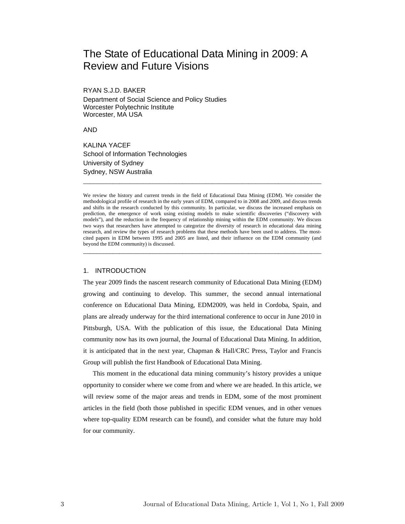# The State of Educational Data Mining in 2009: A Review and Future Visions

RYAN S.J.D. BAKER Department of Social Science and Policy Studies Worcester Polytechnic Institute Worcester, MA USA

AND

KALINA YACEF School of Information Technologies University of Sydney Sydney, NSW Australia

We review the history and current trends in the field of Educational Data Mining (EDM). We consider the methodological profile of research in the early years of EDM, compared to in 2008 and 2009, and discuss trends and shifts in the research conducted by this community. In particular, we discuss the increased emphasis on prediction, the emergence of work using existing models to make scientific discoveries ("discovery with models"), and the reduction in the frequency of relationship mining within the EDM community. We discuss two ways that researchers have attempted to categorize the diversity of research in educational data mining research, and review the types of research problems that these methods have been used to address. The mostcited papers in EDM between 1995 and 2005 are listed, and their influence on the EDM community (and beyond the EDM community) is discussed.

\_\_\_\_\_\_\_\_\_\_\_\_\_\_\_\_\_\_\_\_\_\_\_\_\_\_\_\_\_\_\_\_\_\_\_\_\_\_\_\_\_\_\_\_\_\_\_\_\_\_\_\_\_\_\_\_\_\_\_\_\_\_\_\_\_\_\_\_\_\_\_\_

\_\_\_\_\_\_\_\_\_\_\_\_\_\_\_\_\_\_\_\_\_\_\_\_\_\_\_\_\_\_\_\_\_\_\_\_\_\_\_\_\_\_\_\_\_\_\_\_\_\_\_\_\_\_\_\_\_\_\_\_\_\_\_\_\_\_\_\_\_\_\_\_

#### 1. INTRODUCTION

The year 2009 finds the nascent research community of Educational Data Mining (EDM) growing and continuing to develop. This summer, the second annual international conference on Educational Data Mining, EDM2009, was held in Cordoba, Spain, and plans are already underway for the third international conference to occur in June 2010 in Pittsburgh, USA. With the publication of this issue, the Educational Data Mining community now has its own journal, the Journal of Educational Data Mining. In addition, it is anticipated that in the next year, Chapman & Hall/CRC Press, Taylor and Francis Group will publish the first Handbook of Educational Data Mining.

This moment in the educational data mining community's history provides a unique opportunity to consider where we come from and where we are headed. In this article, we will review some of the major areas and trends in EDM, some of the most prominent articles in the field (both those published in specific EDM venues, and in other venues where top-quality EDM research can be found), and consider what the future may hold for our community.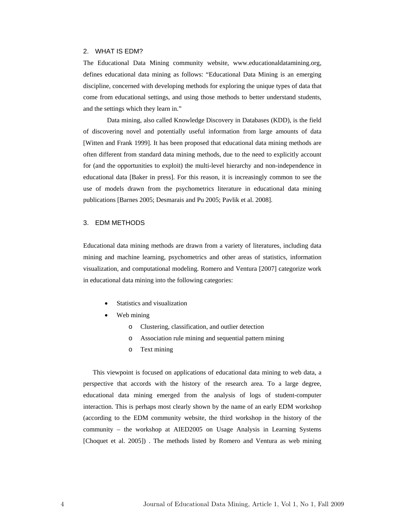## 2. WHAT IS EDM?

The Educational Data Mining community website, www.educationaldatamining.org, defines educational data mining as follows: "Educational Data Mining is an emerging discipline, concerned with developing methods for exploring the unique types of data that come from educational settings, and using those methods to better understand students, and the settings which they learn in."

 Data mining, also called Knowledge Discovery in Databases (KDD), is the field of discovering novel and potentially useful information from large amounts of data [Witten and Frank 1999]. It has been proposed that educational data mining methods are often different from standard data mining methods, due to the need to explicitly account for (and the opportunities to exploit) the multi-level hierarchy and non-independence in educational data [Baker in press]. For this reason, it is increasingly common to see the use of models drawn from the psychometrics literature in educational data mining publications [Barnes 2005; Desmarais and Pu 2005; Pavlik et al. 2008].

# 3. EDM METHODS

Educational data mining methods are drawn from a variety of literatures, including data mining and machine learning, psychometrics and other areas of statistics, information visualization, and computational modeling. Romero and Ventura [2007] categorize work in educational data mining into the following categories:

- Statistics and visualization
- Web mining
	- o Clustering, classification, and outlier detection
	- o Association rule mining and sequential pattern mining
	- o Text mining

This viewpoint is focused on applications of educational data mining to web data, a perspective that accords with the history of the research area. To a large degree, educational data mining emerged from the analysis of logs of student-computer interaction. This is perhaps most clearly shown by the name of an early EDM workshop (according to the EDM community website, the third workshop in the history of the community – the workshop at AIED2005 on Usage Analysis in Learning Systems [Choquet et al. 2005]) . The methods listed by Romero and Ventura as web mining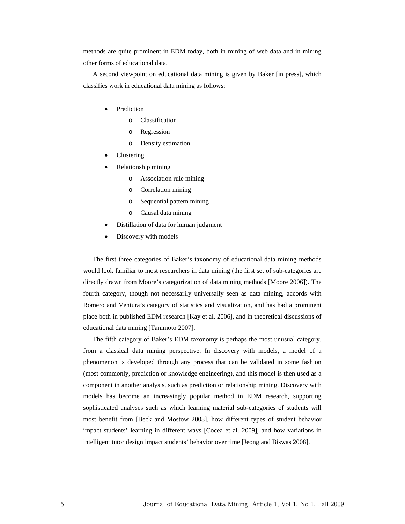methods are quite prominent in EDM today, both in mining of web data and in mining other forms of educational data.

A second viewpoint on educational data mining is given by Baker [in press], which classifies work in educational data mining as follows:

- Prediction
	- o Classification
	- o Regression
	- o Density estimation
- Clustering
- Relationship mining
	- o Association rule mining
	- o Correlation mining
	- o Sequential pattern mining
	- o Causal data mining
- Distillation of data for human judgment
- Discovery with models

The first three categories of Baker's taxonomy of educational data mining methods would look familiar to most researchers in data mining (the first set of sub-categories are directly drawn from Moore's categorization of data mining methods [Moore 2006]). The fourth category, though not necessarily universally seen as data mining, accords with Romero and Ventura's category of statistics and visualization, and has had a prominent place both in published EDM research [Kay et al. 2006], and in theoretical discussions of educational data mining [Tanimoto 2007].

The fifth category of Baker's EDM taxonomy is perhaps the most unusual category, from a classical data mining perspective. In discovery with models, a model of a phenomenon is developed through any process that can be validated in some fashion (most commonly, prediction or knowledge engineering), and this model is then used as a component in another analysis, such as prediction or relationship mining. Discovery with models has become an increasingly popular method in EDM research, supporting sophisticated analyses such as which learning material sub-categories of students will most benefit from [Beck and Mostow 2008], how different types of student behavior impact students' learning in different ways [Cocea et al. 2009], and how variations in intelligent tutor design impact students' behavior over time [Jeong and Biswas 2008].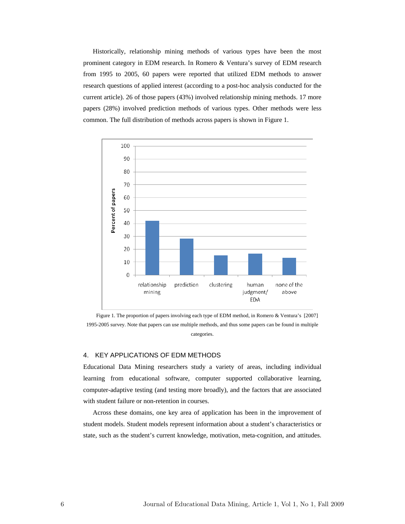Historically, relationship mining methods of various types have been the most prominent category in EDM research. In Romero & Ventura's survey of EDM research from 1995 to 2005, 60 papers were reported that utilized EDM methods to answer research questions of applied interest (according to a post-hoc analysis conducted for the current article). 26 of those papers (43%) involved relationship mining methods. 17 more papers (28%) involved prediction methods of various types. Other methods were less common. The full distribution of methods across papers is shown in Figure 1.



Figure 1. The proportion of papers involving each type of EDM method, in Romero & Ventura's [2007] 1995-2005 survey. Note that papers can use multiple methods, and thus some papers can be found in multiple categories.

#### 4. KEY APPLICATIONS OF EDM METHODS

Educational Data Mining researchers study a variety of areas, including individual learning from educational software, computer supported collaborative learning, computer-adaptive testing (and testing more broadly), and the factors that are associated with student failure or non-retention in courses.

Across these domains, one key area of application has been in the improvement of student models. Student models represent information about a student's characteristics or state, such as the student's current knowledge, motivation, meta-cognition, and attitudes.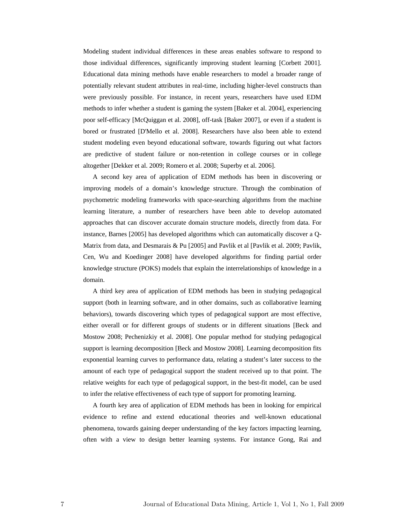Modeling student individual differences in these areas enables software to respond to those individual differences, significantly improving student learning [Corbett 2001]. Educational data mining methods have enable researchers to model a broader range of potentially relevant student attributes in real-time, including higher-level constructs than were previously possible. For instance, in recent years, researchers have used EDM methods to infer whether a student is gaming the system [Baker et al. 2004], experiencing poor self-efficacy [McQuiggan et al. 2008], off-task [Baker 2007], or even if a student is bored or frustrated [D'Mello et al. 2008]. Researchers have also been able to extend student modeling even beyond educational software, towards figuring out what factors are predictive of student failure or non-retention in college courses or in college altogether [Dekker et al. 2009; Romero et al. 2008; Superby et al. 2006].

A second key area of application of EDM methods has been in discovering or improving models of a domain's knowledge structure. Through the combination of psychometric modeling frameworks with space-searching algorithms from the machine learning literature, a number of researchers have been able to develop automated approaches that can discover accurate domain structure models, directly from data. For instance, Barnes [2005] has developed algorithms which can automatically discover a Q-Matrix from data, and Desmarais & Pu [2005] and Pavlik et al [Pavlik et al. 2009; Pavlik, Cen, Wu and Koedinger 2008] have developed algorithms for finding partial order knowledge structure (POKS) models that explain the interrelationships of knowledge in a domain.

A third key area of application of EDM methods has been in studying pedagogical support (both in learning software, and in other domains, such as collaborative learning behaviors), towards discovering which types of pedagogical support are most effective, either overall or for different groups of students or in different situations [Beck and Mostow 2008; Pechenizkiy et al. 2008]. One popular method for studying pedagogical support is learning decomposition [Beck and Mostow 2008]. Learning decomposition fits exponential learning curves to performance data, relating a student's later success to the amount of each type of pedagogical support the student received up to that point. The relative weights for each type of pedagogical support, in the best-fit model, can be used to infer the relative effectiveness of each type of support for promoting learning.

A fourth key area of application of EDM methods has been in looking for empirical evidence to refine and extend educational theories and well-known educational phenomena, towards gaining deeper understanding of the key factors impacting learning, often with a view to design better learning systems. For instance Gong, Rai and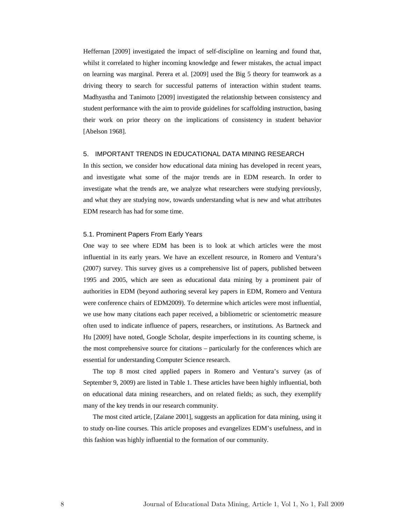Heffernan [2009] investigated the impact of self-discipline on learning and found that, whilst it correlated to higher incoming knowledge and fewer mistakes, the actual impact on learning was marginal. Perera et al. [2009] used the Big 5 theory for teamwork as a driving theory to search for successful patterns of interaction within student teams. Madhyastha and Tanimoto [2009] investigated the relationship between consistency and student performance with the aim to provide guidelines for scaffolding instruction, basing their work on prior theory on the implications of consistency in student behavior [Abelson 1968].

# 5. IMPORTANT TRENDS IN EDUCATIONAL DATA MINING RESEARCH

In this section, we consider how educational data mining has developed in recent years, and investigate what some of the major trends are in EDM research. In order to investigate what the trends are, we analyze what researchers were studying previously, and what they are studying now, towards understanding what is new and what attributes EDM research has had for some time.

#### 5.1. Prominent Papers From Early Years

One way to see where EDM has been is to look at which articles were the most influential in its early years. We have an excellent resource, in Romero and Ventura's (2007) survey. This survey gives us a comprehensive list of papers, published between 1995 and 2005, which are seen as educational data mining by a prominent pair of authorities in EDM (beyond authoring several key papers in EDM, Romero and Ventura were conference chairs of EDM2009). To determine which articles were most influential, we use how many citations each paper received, a bibliometric or scientometric measure often used to indicate influence of papers, researchers, or institutions. As Bartneck and Hu [2009] have noted, Google Scholar, despite imperfections in its counting scheme, is the most comprehensive source for citations – particularly for the conferences which are essential for understanding Computer Science research.

The top 8 most cited applied papers in Romero and Ventura's survey (as of September 9, 2009) are listed in Table 1. These articles have been highly influential, both on educational data mining researchers, and on related fields; as such, they exemplify many of the key trends in our research community.

The most cited article, [Zaïane 2001], suggests an application for data mining, using it to study on-line courses. This article proposes and evangelizes EDM's usefulness, and in this fashion was highly influential to the formation of our community.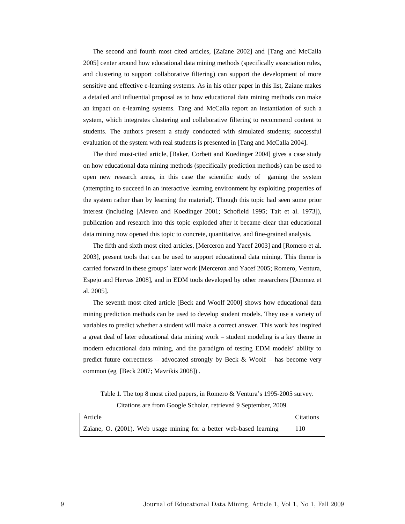The second and fourth most cited articles, [Zaïane 2002] and [Tang and McCalla 2005] center around how educational data mining methods (specifically association rules, and clustering to support collaborative filtering) can support the development of more sensitive and effective e-learning systems. As in his other paper in this list, Zaiane makes a detailed and influential proposal as to how educational data mining methods can make an impact on e-learning systems. Tang and McCalla report an instantiation of such a system, which integrates clustering and collaborative filtering to recommend content to students. The authors present a study conducted with simulated students; successful evaluation of the system with real students is presented in [Tang and McCalla 2004].

The third most-cited article, [Baker, Corbett and Koedinger 2004] gives a case study on how educational data mining methods (specifically prediction methods) can be used to open new research areas, in this case the scientific study of gaming the system (attempting to succeed in an interactive learning environment by exploiting properties of the system rather than by learning the material). Though this topic had seen some prior interest (including [Aleven and Koedinger 2001; Schofield 1995; Tait et al. 1973]), publication and research into this topic exploded after it became clear that educational data mining now opened this topic to concrete, quantitative, and fine-grained analysis.

The fifth and sixth most cited articles, [Merceron and Yacef 2003] and [Romero et al. 2003], present tools that can be used to support educational data mining. This theme is carried forward in these groups' later work [Merceron and Yacef 2005; Romero, Ventura, Espejo and Hervas 2008], and in EDM tools developed by other researchers [Donmez et al. 2005].

The seventh most cited article [Beck and Woolf 2000] shows how educational data mining prediction methods can be used to develop student models. They use a variety of variables to predict whether a student will make a correct answer. This work has inspired a great deal of later educational data mining work – student modeling is a key theme in modern educational data mining, and the paradigm of testing EDM models' ability to predict future correctness – advocated strongly by Beck & Woolf – has become very common (eg [Beck 2007; Mavrikis 2008]) .

Table 1. The top 8 most cited papers, in Romero & Ventura's 1995-2005 survey. Citations are from Google Scholar, retrieved 9 September, 2009.

| Article                                                             | <b>Citations</b> |
|---------------------------------------------------------------------|------------------|
| Zaïane, O. (2001). Web usage mining for a better web-based learning |                  |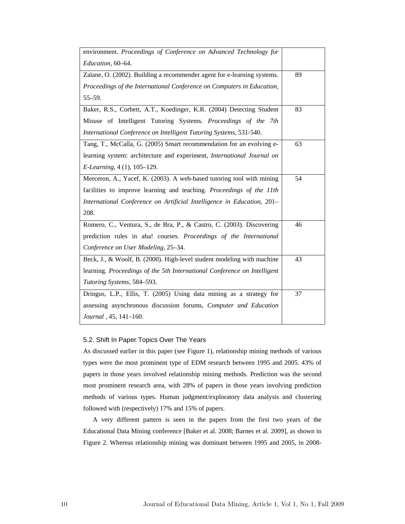| environment. Proceedings of Conference on Advanced Technology for        |    |
|--------------------------------------------------------------------------|----|
| Education, 60-64.                                                        |    |
| Zaïane, O. (2002). Building a recommender agent for e-learning systems.  | 89 |
| Proceedings of the International Conference on Computers in Education,   |    |
| $55 - 59.$                                                               |    |
| Baker, R.S., Corbett, A.T., Koedinger, K.R. (2004) Detecting Student     | 83 |
| Misuse of Intelligent Tutoring Systems. Proceedings of the 7th           |    |
| International Conference on Intelligent Tutoring Systems, 531-540.       |    |
| Tang, T., McCalla, G. (2005) Smart recommendation for an evolving e-     | 63 |
| learning system: architecture and experiment, International Journal on   |    |
| <i>E-Learning</i> , 4 (1), 105–129.                                      |    |
| Merceron, A., Yacef, K. (2003). A web-based tutoring tool with mining    | 54 |
| facilities to improve learning and teaching. Proceedings of the 11th     |    |
| International Conference on Artificial Intelligence in Education, 201-   |    |
| 208.                                                                     |    |
| Romero, C., Ventura, S., de Bra, P., & Castro, C. (2003). Discovering    | 46 |
| prediction rules in aha! courses. Proceedings of the International       |    |
| Conference on User Modeling, 25–34.                                      |    |
| Beck, J., & Woolf, B. (2000). High-level student modeling with machine   | 43 |
| learning. Proceedings of the 5th International Conference on Intelligent |    |
| Tutoring Systems, 584-593.                                               |    |
| Dringus, L.P., Ellis, T. (2005) Using data mining as a strategy for      | 37 |
| assessing asynchronous discussion forums, Computer and Education         |    |
| Journal , 45, 141-160.                                                   |    |

# 5.2. Shift In Paper Topics Over The Years

As discussed earlier in this paper (see Figure 1), relationship mining methods of various types were the most prominent type of EDM research between 1995 and 2005. 43% of papers in those years involved relationship mining methods. Prediction was the second most prominent research area, with 28% of papers in those years involving prediction methods of various types. Human judgment/exploratory data analysis and clustering followed with (respectively) 17% and 15% of papers.

A very different pattern is seen in the papers from the first two years of the Educational Data Mining conference [Baker et al. 2008; Barnes et al. 2009], as shown in Figure 2. Whereas relationship mining was dominant between 1995 and 2005, in 2008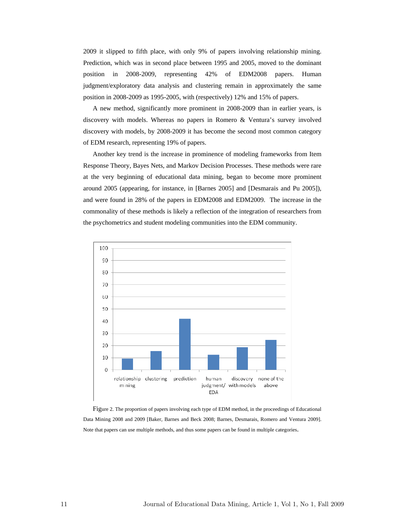2009 it slipped to fifth place, with only 9% of papers involving relationship mining. Prediction, which was in second place between 1995 and 2005, moved to the dominant position in 2008-2009, representing 42% of EDM2008 papers. Human judgment/exploratory data analysis and clustering remain in approximately the same position in 2008-2009 as 1995-2005, with (respectively) 12% and 15% of papers.

A new method, significantly more prominent in 2008-2009 than in earlier years, is discovery with models. Whereas no papers in Romero & Ventura's survey involved discovery with models, by 2008-2009 it has become the second most common category of EDM research, representing 19% of papers.

Another key trend is the increase in prominence of modeling frameworks from Item Response Theory, Bayes Nets, and Markov Decision Processes. These methods were rare at the very beginning of educational data mining, began to become more prominent around 2005 (appearing, for instance, in [Barnes 2005] and [Desmarais and Pu 2005]), and were found in 28% of the papers in EDM2008 and EDM2009. The increase in the commonality of these methods is likely a reflection of the integration of researchers from the psychometrics and student modeling communities into the EDM community.



Figure 2. The proportion of papers involving each type of EDM method, in the proceedings of Educational Data Mining 2008 and 2009 [Baker, Barnes and Beck 2008; Barnes, Desmarais, Romero and Ventura 2009]. Note that papers can use multiple methods, and thus some papers can be found in multiple categories.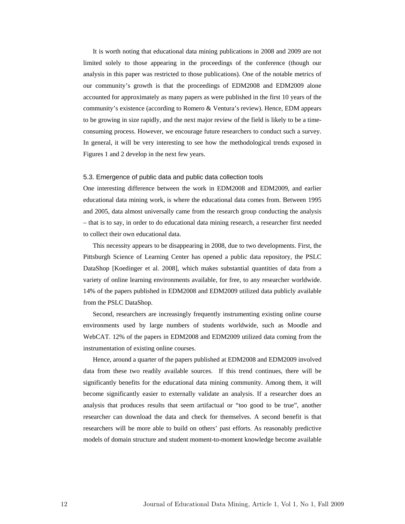It is worth noting that educational data mining publications in 2008 and 2009 are not limited solely to those appearing in the proceedings of the conference (though our analysis in this paper was restricted to those publications). One of the notable metrics of our community's growth is that the proceedings of EDM2008 and EDM2009 alone accounted for approximately as many papers as were published in the first 10 years of the community's existence (according to Romero & Ventura's review). Hence, EDM appears to be growing in size rapidly, and the next major review of the field is likely to be a timeconsuming process. However, we encourage future researchers to conduct such a survey. In general, it will be very interesting to see how the methodological trends exposed in Figures 1 and 2 develop in the next few years.

#### 5.3. Emergence of public data and public data collection tools

One interesting difference between the work in EDM2008 and EDM2009, and earlier educational data mining work, is where the educational data comes from. Between 1995 and 2005, data almost universally came from the research group conducting the analysis – that is to say, in order to do educational data mining research, a researcher first needed to collect their own educational data.

This necessity appears to be disappearing in 2008, due to two developments. First, the Pittsburgh Science of Learning Center has opened a public data repository, the PSLC DataShop [Koedinger et al. 2008], which makes substantial quantities of data from a variety of online learning environments available, for free, to any researcher worldwide. 14% of the papers published in EDM2008 and EDM2009 utilized data publicly available from the PSLC DataShop.

Second, researchers are increasingly frequently instrumenting existing online course environments used by large numbers of students worldwide, such as Moodle and WebCAT. 12% of the papers in EDM2008 and EDM2009 utilized data coming from the instrumentation of existing online courses.

Hence, around a quarter of the papers published at EDM2008 and EDM2009 involved data from these two readily available sources. If this trend continues, there will be significantly benefits for the educational data mining community. Among them, it will become significantly easier to externally validate an analysis. If a researcher does an analysis that produces results that seem artifactual or "too good to be true", another researcher can download the data and check for themselves. A second benefit is that researchers will be more able to build on others' past efforts. As reasonably predictive models of domain structure and student moment-to-moment knowledge become available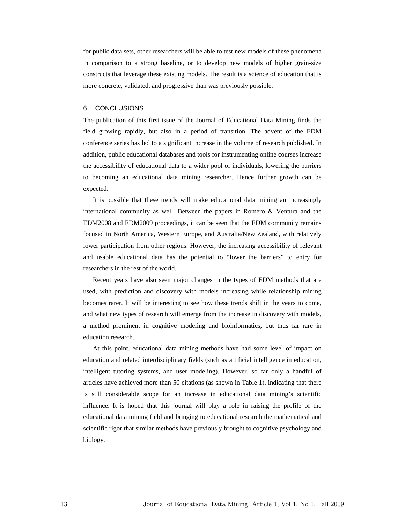for public data sets, other researchers will be able to test new models of these phenomena in comparison to a strong baseline, or to develop new models of higher grain-size constructs that leverage these existing models. The result is a science of education that is more concrete, validated, and progressive than was previously possible.

### 6. CONCLUSIONS

The publication of this first issue of the Journal of Educational Data Mining finds the field growing rapidly, but also in a period of transition. The advent of the EDM conference series has led to a significant increase in the volume of research published. In addition, public educational databases and tools for instrumenting online courses increase the accessibility of educational data to a wider pool of individuals, lowering the barriers to becoming an educational data mining researcher. Hence further growth can be expected.

It is possible that these trends will make educational data mining an increasingly international community as well. Between the papers in Romero & Ventura and the EDM2008 and EDM2009 proceedings, it can be seen that the EDM community remains focused in North America, Western Europe, and Australia/New Zealand, with relatively lower participation from other regions. However, the increasing accessibility of relevant and usable educational data has the potential to "lower the barriers" to entry for researchers in the rest of the world.

Recent years have also seen major changes in the types of EDM methods that are used, with prediction and discovery with models increasing while relationship mining becomes rarer. It will be interesting to see how these trends shift in the years to come, and what new types of research will emerge from the increase in discovery with models, a method prominent in cognitive modeling and bioinformatics, but thus far rare in education research.

At this point, educational data mining methods have had some level of impact on education and related interdisciplinary fields (such as artificial intelligence in education, intelligent tutoring systems, and user modeling). However, so far only a handful of articles have achieved more than 50 citations (as shown in Table 1), indicating that there is still considerable scope for an increase in educational data mining's scientific influence. It is hoped that this journal will play a role in raising the profile of the educational data mining field and bringing to educational research the mathematical and scientific rigor that similar methods have previously brought to cognitive psychology and biology.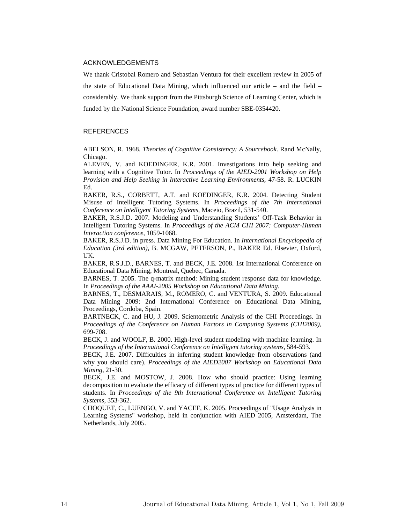## ACKNOWLEDGEMENTS

We thank Cristobal Romero and Sebastian Ventura for their excellent review in 2005 of the state of Educational Data Mining, which influenced our article – and the field – considerably. We thank support from the Pittsburgh Science of Learning Center, which is funded by the National Science Foundation, award number SBE-0354420.

# **REFERENCES**

ABELSON, R. 1968. *Theories of Cognitive Consistency: A Sourcebook*. Rand McNally, Chicago.

ALEVEN, V. and KOEDINGER, K.R. 2001. Investigations into help seeking and learning with a Cognitive Tutor. In *Proceedings of the AIED-2001 Workshop on Help Provision and Help Seeking in Interactive Learning Environments*, 47-58. R. LUCKIN Ed.

BAKER, R.S., CORBETT, A.T. and KOEDINGER, K.R. 2004. Detecting Student Misuse of Intelligent Tutoring Systems. In *Proceedings of the 7th International Conference on Intelligent Tutoring Systems*, Maceio, Brazil, 531-540.

BAKER, R.S.J.D. 2007. Modeling and Understanding Students' Off-Task Behavior in Intelligent Tutoring Systems. In *Proceedings of the ACM CHI 2007: Computer-Human Interaction conference*, 1059-1068.

BAKER, R.S.J.D. in press. Data Mining For Education. In *International Encyclopedia of Education (3rd edition)*, B. MCGAW, PETERSON, P., BAKER Ed. Elsevier, Oxford, UK.

BAKER, R.S.J.D., BARNES, T. and BECK, J.E. 2008. 1st International Conference on Educational Data Mining, Montreal, Quebec, Canada.

BARNES, T. 2005. The q-matrix method: Mining student response data for knowledge. In *Proceedings of the AAAI-2005 Workshop on Educational Data Mining*.

BARNES, T., DESMARAIS, M., ROMERO, C. and VENTURA, S. 2009. Educational Data Mining 2009: 2nd International Conference on Educational Data Mining, Proceedings, Cordoba, Spain.

BARTNECK, C. and HU, J. 2009. Scientometric Analysis of the CHI Proceedings. In *Proceedings of the Conference on Human Factors in Computing Systems (CHI2009)*, 699-708.

BECK, J. and WOOLF, B. 2000. High-level student modeling with machine learning. In *Proceedings of the International Conference on Intelligent tutoring systems*, 584-593.

BECK, J.E. 2007. Difficulties in inferring student knowledge from observations (and why you should care). *Proceedings of the AIED2007 Workshop on Educational Data Mining*, 21-30.

BECK, J.E. and MOSTOW, J. 2008. How who should practice: Using learning decomposition to evaluate the efficacy of different types of practice for different types of students. In *Proceedings of the 9th International Conference on Intelligent Tutoring Systems*, 353-362.

CHOQUET, C., LUENGO, V. and YACEF, K. 2005. Proceedings of "Usage Analysis in Learning Systems" workshop, held in conjunction with AIED 2005, Amsterdam, The Netherlands, July 2005.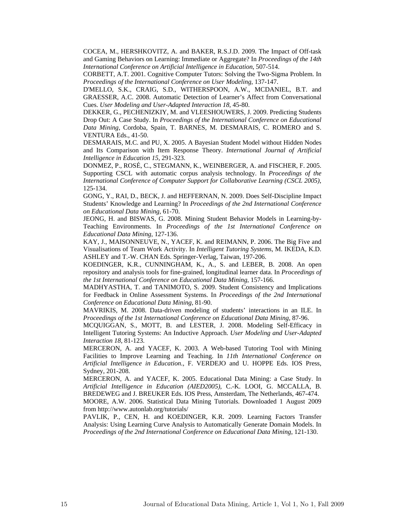COCEA, M., HERSHKOVITZ, A. and BAKER, R.S.J.D. 2009. The Impact of Off-task and Gaming Behaviors on Learning: Immediate or Aggregate? In *Proceedings of the 14th International Conference on Artificial Intelligence in Education*, 507-514.

CORBETT, A.T. 2001. Cognitive Computer Tutors: Solving the Two-Sigma Problem. In *Proceedings of the International Conference on User Modeling*, 137-147.

D'MELLO, S.K., CRAIG, S.D., WITHERSPOON, A.W., MCDANIEL, B.T. and GRAESSER, A.C. 2008. Automatic Detection of Learner's Affect from Conversational Cues. *User Modeling and User-Adapted Interaction 18*, 45-80.

DEKKER, G., PECHENIZKIY, M. and VLEESHOUWERS, J. 2009. Predicting Students Drop Out: A Case Study. In *Proceedings of the International Conference on Educational Data Mining*, Cordoba, Spain, T. BARNES, M. DESMARAIS, C. ROMERO and S. VENTURA Eds., 41-50.

DESMARAIS, M.C. and PU, X. 2005. A Bayesian Student Model without Hidden Nodes and Its Comparison with Item Response Theory. *International Journal of Artificial Intelligence in Education 15*, 291-323.

DONMEZ, P., ROSÉ, C., STEGMANN, K., WEINBERGER, A. and FISCHER, F. 2005. Supporting CSCL with automatic corpus analysis technology. In *Proceedings of the International Conference of Computer Support for Collaborative Learning (CSCL 2005)*, 125-134.

GONG, Y., RAI, D., BECK, J. and HEFFERNAN, N. 2009. Does Self-Discipline Impact Students' Knowledge and Learning? In *Proceedings of the 2nd International Conference on Educational Data Mining*, 61-70.

JEONG, H. and BISWAS, G. 2008. Mining Student Behavior Models in Learning-by-Teaching Environments. In *Proceedings of the 1st International Conference on Educational Data Mining*, 127-136.

KAY, J., MAISONNEUVE, N., YACEF, K. and REIMANN, P. 2006. The Big Five and Visualisations of Team Work Activity. In *Intelligent Tutoring Systems*, M. IKEDA, K.D. ASHLEY and T.-W. CHAN Eds. Springer-Verlag, Taiwan, 197-206.

KOEDINGER, K.R., CUNNINGHAM, K., A., S. and LEBER, B. 2008. An open repository and analysis tools for fine-grained, longitudinal learner data. In *Proceedings of the 1st International Conference on Educational Data Mining*, 157-166.

MADHYASTHA, T. and TANIMOTO, S. 2009. Student Consistency and Implications for Feedback in Online Assessment Systems. In *Proceedings of the 2nd International Conference on Educational Data Mining*, 81-90.

MAVRIKIS, M. 2008. Data-driven modeling of students' interactions in an ILE. In *Proceedings of the 1st International Conference on Educational Data Mining*, 87-96.

MCQUIGGAN, S., MOTT, B. and LESTER, J. 2008. Modeling Self-Efficacy in Intelligent Tutoring Systems: An Inductive Approach. *User Modeling and User-Adapted Interaction 18*, 81-123.

MERCERON, A. and YACEF, K. 2003. A Web-based Tutoring Tool with Mining Facilities to Improve Learning and Teaching. In *11th International Conference on Artificial Intelligence in Education.*, F. VERDEJO and U. HOPPE Eds. IOS Press, Sydney, 201-208.

MERCERON, A. and YACEF, K. 2005. Educational Data Mining: a Case Study. In *Artificial Intelligence in Education (AIED2005)*, C.-K. LOOI, G. MCCALLA, B. BREDEWEG and J. BREUKER Eds. IOS Press, Amsterdam, The Netherlands, 467-474. MOORE, A.W. 2006. Statistical Data Mining Tutorials. Downloaded 1 August 2009 from http://www.autonlab.org/tutorials/

PAVLIK, P., CEN, H. and KOEDINGER, K.R. 2009. Learning Factors Transfer Analysis: Using Learning Curve Analysis to Automatically Generate Domain Models. In *Proceedings of the 2nd International Conference on Educational Data Mining*, 121-130.